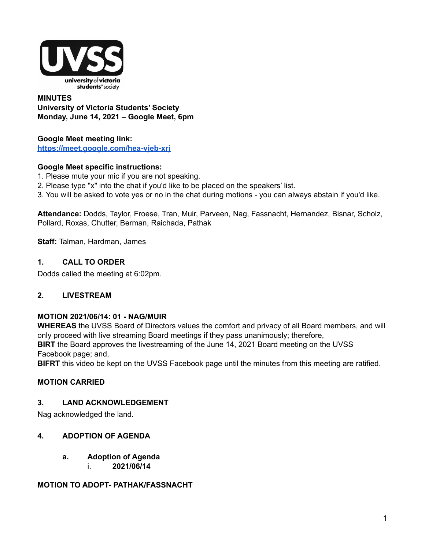

#### **MINUTES University of Victoria Students' Society Monday, June 14, 2021 – Google Meet, 6pm**

#### **Google Meet meeting link: <https://meet.google.com/hea-vjeb-xrj>**

#### **Google Meet specific instructions:**

- 1. Please mute your mic if you are not speaking.
- 2. Please type "x" into the chat if you'd like to be placed on the speakers' list.
- 3. You will be asked to vote yes or no in the chat during motions you can always abstain if you'd like.

**Attendance:** Dodds, Taylor, Froese, Tran, Muir, Parveen, Nag, Fassnacht, Hernandez, Bisnar, Scholz, Pollard, Roxas, Chutter, Berman, Raichada, Pathak

**Staff:** Talman, Hardman, James

#### **1. CALL TO ORDER**

Dodds called the meeting at 6:02pm.

#### **2. LIVESTREAM**

#### **MOTION 2021/06/14: 01 - NAG/MUIR**

**WHEREAS** the UVSS Board of Directors values the comfort and privacy of all Board members, and will only proceed with live streaming Board meetings if they pass unanimously; therefore, **BIRT** the Board approves the livestreaming of the June 14, 2021 Board meeting on the UVSS Facebook page; and,

**BIFRT** this video be kept on the UVSS Facebook page until the minutes from this meeting are ratified.

#### **MOTION CARRIED**

### **3. LAND ACKNOWLEDGEMENT**

Nag acknowledged the land.

#### **4. ADOPTION OF AGENDA**

**a. Adoption of Agenda** i. **2021/06/14**

#### **MOTION TO ADOPT- PATHAK/FASSNACHT**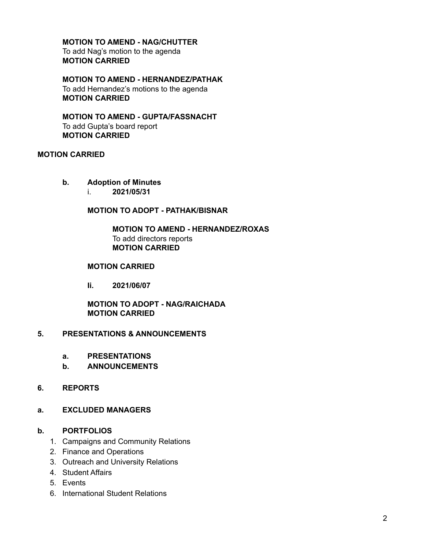**MOTION TO AMEND - NAG/CHUTTER** To add Nag's motion to the agenda **MOTION CARRIED**

**MOTION TO AMEND - HERNANDEZ/PATHAK** To add Hernandez's motions to the agenda **MOTION CARRIED**

**MOTION TO AMEND - GUPTA/FASSNACHT** To add Gupta's board report **MOTION CARRIED**

#### **MOTION CARRIED**

**b. Adoption of Minutes**

i. **2021/05/31**

**MOTION TO ADOPT - PATHAK/BISNAR**

**MOTION TO AMEND - HERNANDEZ/ROXAS** To add directors reports **MOTION CARRIED**

#### **MOTION CARRIED**

**Ii. 2021/06/07**

**MOTION TO ADOPT - NAG/RAICHADA MOTION CARRIED**

#### **5. PRESENTATIONS & ANNOUNCEMENTS**

- **a. PRESENTATIONS**
- **b. ANNOUNCEMENTS**

#### **6. REPORTS**

#### **a. EXCLUDED MANAGERS**

#### **b. PORTFOLIOS**

- 1. Campaigns and Community Relations
- 2. Finance and Operations
- 3. Outreach and University Relations
- 4. Student Affairs
- 5. Events
- 6. International Student Relations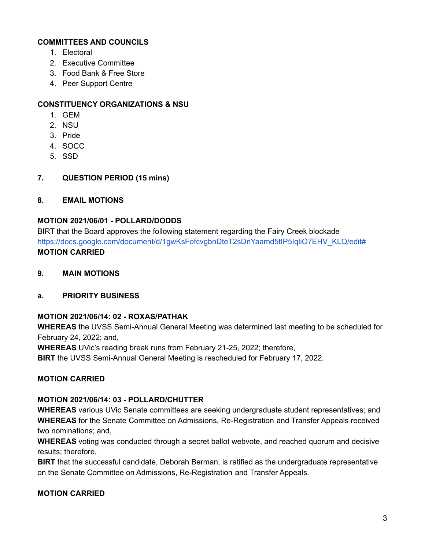## **COMMITTEES AND COUNCILS**

- 1. Electoral
- 2. Executive Committee
- 3. Food Bank & Free Store
- 4. Peer Support Centre

### **CONSTITUENCY ORGANIZATIONS & NSU**

- 1. GEM
- 2. NSU
- 3. Pride
- 4. SOCC
- 5. SSD
- **7. QUESTION PERIOD (15 mins)**

#### **8. EMAIL MOTIONS**

#### **MOTION 2021/06/01 - POLLARD/DODDS**

BIRT that the Board approves the following statement regarding the Fairy Creek blockade https://docs.google.com/document/d/1gwKsFofcvgbnDteT2sDnYaamd5tIP5IgliO7EHV\_KLQ/edit# **MOTION CARRIED**

**9. MAIN MOTIONS**

#### **a. PRIORITY BUSINESS**

## **MOTION 2021/06/14: 02 - ROXAS/PATHAK**

**WHEREAS** the UVSS Semi-Annual General Meeting was determined last meeting to be scheduled for February 24, 2022; and,

**WHEREAS** UVic's reading break runs from February 21-25, 2022; therefore,

**BIRT** the UVSS Semi-Annual General Meeting is rescheduled for February 17, 2022.

#### **MOTION CARRIED**

#### **MOTION 2021/06/14: 03 - POLLARD/CHUTTER**

**WHEREAS** various UVic Senate committees are seeking undergraduate student representatives; and **WHEREAS** for the Senate Committee on Admissions, Re-Registration and Transfer Appeals received two nominations; and,

**WHEREAS** voting was conducted through a secret ballot webvote, and reached quorum and decisive results; therefore,

**BIRT** that the successful candidate, Deborah Berman, is ratified as the undergraduate representative on the Senate Committee on Admissions, Re-Registration and Transfer Appeals.

#### **MOTION CARRIED**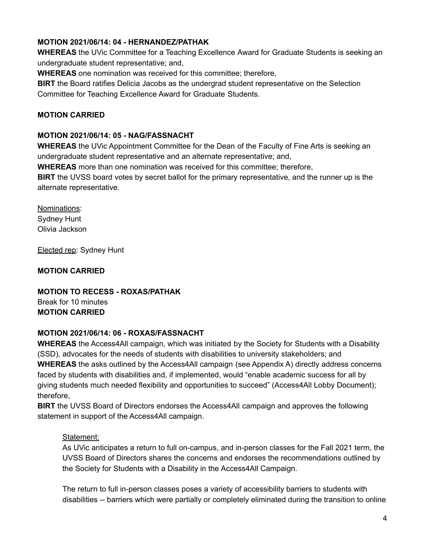## **MOTION 2021/06/14: 04 - HERNANDEZ/PATHAK**

**WHEREAS** the UVic Committee for a Teaching Excellence Award for Graduate Students is seeking an undergraduate student representative; and,

**WHEREAS** one nomination was received for this committee; therefore,

**BIRT** the Board ratifies Delicia Jacobs as the undergrad student representative on the Selection Committee for Teaching Excellence Award for Graduate Students.

## **MOTION CARRIED**

#### **MOTION 2021/06/14: 05 - NAG/FASSNACHT**

**WHEREAS** the UVic Appointment Committee for the Dean of the Faculty of Fine Arts is seeking an undergraduate student representative and an alternate representative; and,

**WHEREAS** more than one nomination was received for this committee; therefore,

**BIRT** the UVSS board votes by secret ballot for the primary representative, and the runner up is the alternate representative.

Nominations: Sydney Hunt Olivia Jackson

Elected rep: Sydney Hunt

**MOTION CARRIED**

**MOTION TO RECESS - ROXAS/PATHAK** Break for 10 minutes **MOTION CARRIED**

## **MOTION 2021/06/14: 06 - ROXAS/FASSNACHT**

**WHEREAS** the Access4All campaign, which was initiated by the Society for Students with a Disability (SSD), advocates for the needs of students with disabilities to university stakeholders; and **WHEREAS** the asks outlined by the Access4All campaign (see Appendix A) directly address concerns faced by students with disabilities and, if implemented, would "enable academic success for all by giving students much needed flexibility and opportunities to succeed" (Access4All Lobby Document); therefore,

**BIRT** the UVSS Board of Directors endorses the Access4All campaign and approves the following statement in support of the Access4All campaign.

## Statement:

As UVic anticipates a return to full on-campus, and in-person classes for the Fall 2021 term, the UVSS Board of Directors shares the concerns and endorses the recommendations outlined by the Society for Students with a Disability in the Access4All Campaign.

The return to full in-person classes poses a variety of accessibility barriers to students with disabilities -- barriers which were partially or completely eliminated during the transition to online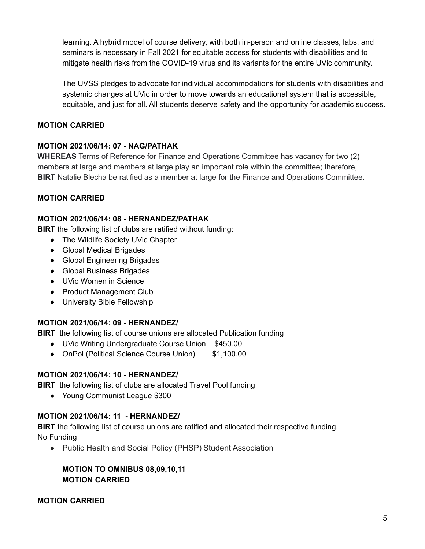learning. A hybrid model of course delivery, with both in-person and online classes, labs, and seminars is necessary in Fall 2021 for equitable access for students with disabilities and to mitigate health risks from the COVID-19 virus and its variants for the entire UVic community.

The UVSS pledges to advocate for individual accommodations for students with disabilities and systemic changes at UVic in order to move towards an educational system that is accessible, equitable, and just for all. All students deserve safety and the opportunity for academic success.

## **MOTION CARRIED**

# **MOTION 2021/06/14: 07 - NAG/PATHAK**

**WHEREAS** Terms of Reference for Finance and Operations Committee has vacancy for two (2) members at large and members at large play an important role within the committee; therefore, **BIRT** Natalie Blecha be ratified as a member at large for the Finance and Operations Committee.

# **MOTION CARRIED**

## **MOTION 2021/06/14: 08 - HERNANDEZ/PATHAK**

**BIRT** the following list of clubs are ratified without funding:

- The Wildlife Society UVic Chapter
- Global Medical Brigades
- Global Engineering Brigades
- Global Business Brigades
- UVic Women in Science
- Product Management Club
- University Bible Fellowship

## **MOTION 2021/06/14: 09 - HERNANDEZ/**

**BIRT** the following list of course unions are allocated Publication funding

- UVic Writing Undergraduate Course Union \$450.00
- OnPol (Political Science Course Union) \$1,100.00

## **MOTION 2021/06/14: 10 - HERNANDEZ/**

**BIRT** the following list of clubs are allocated Travel Pool funding

● Young Communist League \$300

## **MOTION 2021/06/14: 11 - HERNANDEZ/**

**BIRT** the following list of course unions are ratified and allocated their respective funding. No Funding

● Public Health and Social Policy (PHSP) Student Association

## **MOTION TO OMNIBUS 08,09,10,11 MOTION CARRIED**

## **MOTION CARRIED**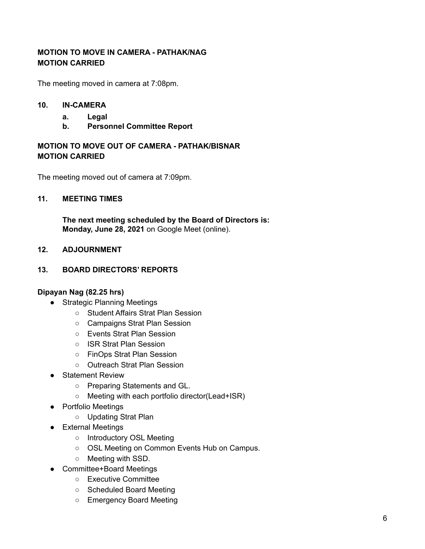## **MOTION TO MOVE IN CAMERA - PATHAK/NAG MOTION CARRIED**

The meeting moved in camera at 7:08pm.

#### **10. IN-CAMERA**

- **a. Legal**
- **b. Personnel Committee Report**

## **MOTION TO MOVE OUT OF CAMERA - PATHAK/BISNAR MOTION CARRIED**

The meeting moved out of camera at 7:09pm.

#### **11. MEETING TIMES**

**The next meeting scheduled by the Board of Directors is: Monday, June 28, 2021** on Google Meet (online).

#### **12. ADJOURNMENT**

#### **13. BOARD DIRECTORS' REPORTS**

#### **Dipayan Nag (82.25 hrs)**

- Strategic Planning Meetings
	- Student Affairs Strat Plan Session
	- Campaigns Strat Plan Session
	- Events Strat Plan Session
	- ISR Strat Plan Session
	- FinOps Strat Plan Session
	- Outreach Strat Plan Session
- Statement Review
	- Preparing Statements and GL.
	- Meeting with each portfolio director(Lead+ISR)
- Portfolio Meetings
	- Updating Strat Plan
- External Meetings
	- Introductory OSL Meeting
	- OSL Meeting on Common Events Hub on Campus.
	- Meeting with SSD.
- Committee+Board Meetings
	- Executive Committee
	- Scheduled Board Meeting
	- Emergency Board Meeting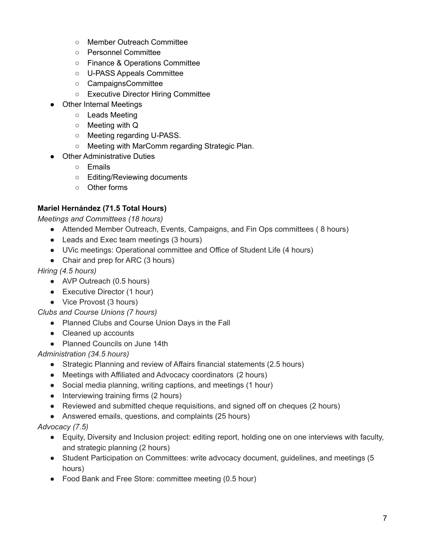- Member Outreach Committee
- Personnel Committee
- Finance & Operations Committee
- U-PASS Appeals Committee
- CampaignsCommittee
- Executive Director Hiring Committee
- **Other Internal Meetings** 
	- Leads Meeting
	- Meeting with Q
	- Meeting regarding U-PASS.
	- Meeting with MarComm regarding Strategic Plan.
- **Other Administrative Duties** 
	- Emails
	- Editing/Reviewing documents
	- Other forms

# **Mariel Hernández (71.5 Total Hours)**

*Meetings and Committees (18 hours)*

- Attended Member Outreach, Events, Campaigns, and Fin Ops committees (8 hours)
- Leads and Exec team meetings (3 hours)
- UVic meetings: Operational committee and Office of Student Life (4 hours)
- Chair and prep for ARC (3 hours)

# *Hiring (4.5 hours)*

- AVP Outreach (0.5 hours)
- Executive Director (1 hour)
- Vice Provost (3 hours)

*Clubs and Course Unions (7 hours)*

- Planned Clubs and Course Union Days in the Fall
- Cleaned up accounts
- Planned Councils on June 14th

## *Administration (34.5 hours)*

- Strategic Planning and review of Affairs financial statements (2.5 hours)
- Meetings with Affiliated and Advocacy coordinators (2 hours)
- Social media planning, writing captions, and meetings (1 hour)
- Interviewing training firms (2 hours)
- Reviewed and submitted cheque requisitions, and signed off on cheques (2 hours)
- Answered emails, questions, and complaints (25 hours)

## *Advocacy (7.5)*

- Equity, Diversity and Inclusion project: editing report, holding one on one interviews with faculty, and strategic planning (2 hours)
- Student Participation on Committees: write advocacy document, guidelines, and meetings (5 hours)
- Food Bank and Free Store: committee meeting (0.5 hour)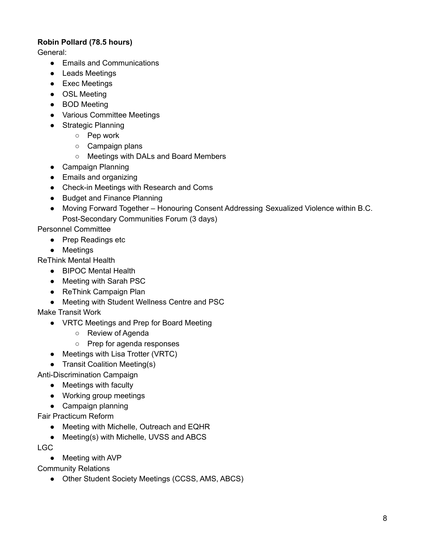# **Robin Pollard (78.5 hours)**

General:

- Emails and Communications
- Leads Meetings
- Exec Meetings
- OSL Meeting
- BOD Meeting
- Various Committee Meetings
- Strategic Planning
	- Pep work
	- Campaign plans
	- Meetings with DALs and Board Members
- Campaign Planning
- Emails and organizing
- Check-in Meetings with Research and Coms
- Budget and Finance Planning
- Moving Forward Together Honouring Consent Addressing Sexualized Violence within B.C. Post-Secondary Communities Forum (3 days)

Personnel Committee

- Prep Readings etc
- Meetings

ReThink Mental Health

- BIPOC Mental Health
- Meeting with Sarah PSC
- ReThink Campaign Plan
- Meeting with Student Wellness Centre and PSC

Make Transit Work

- VRTC Meetings and Prep for Board Meeting
	- Review of Agenda
	- Prep for agenda responses
- Meetings with Lisa Trotter (VRTC)
- Transit Coalition Meeting(s)

Anti-Discrimination Campaign

- Meetings with faculty
- Working group meetings
- Campaign planning

Fair Practicum Reform

- Meeting with Michelle, Outreach and EQHR
- Meeting(s) with Michelle, UVSS and ABCS

LGC

● Meeting with AVP

Community Relations

• Other Student Society Meetings (CCSS, AMS, ABCS)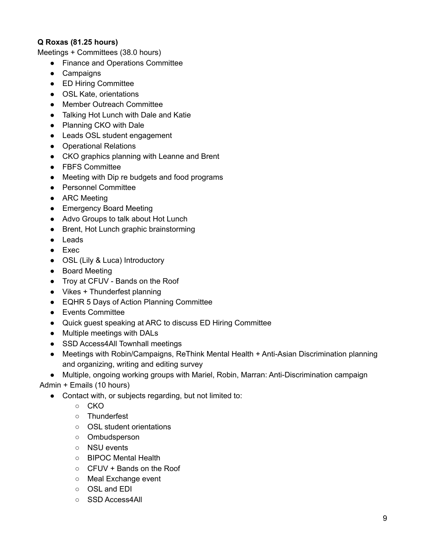# **Q Roxas (81.25 hours)**

Meetings + Committees (38.0 hours)

- Finance and Operations Committee
- Campaigns
- ED Hiring Committee
- OSL Kate, orientations
- Member Outreach Committee
- Talking Hot Lunch with Dale and Katie
- Planning CKO with Dale
- Leads OSL student engagement
- Operational Relations
- CKO graphics planning with Leanne and Brent
- FBFS Committee
- Meeting with Dip re budgets and food programs
- Personnel Committee
- ARC Meeting
- Emergency Board Meeting
- Advo Groups to talk about Hot Lunch
- Brent, Hot Lunch graphic brainstorming
- Leads
- Exec
- OSL (Lily & Luca) Introductory
- Board Meeting
- Troy at CFUV Bands on the Roof
- Vikes + Thunderfest planning
- EQHR 5 Days of Action Planning Committee
- Events Committee
- Quick guest speaking at ARC to discuss ED Hiring Committee
- Multiple meetings with DALs
- SSD Access4All Townhall meetings
- Meetings with Robin/Campaigns, ReThink Mental Health + Anti-Asian Discrimination planning and organizing, writing and editing survey

● Multiple, ongoing working groups with Mariel, Robin, Marran: Anti-Discrimination campaign

Admin + Emails (10 hours)

- Contact with, or subjects regarding, but not limited to:
	- CKO
	- Thunderfest
	- OSL student orientations
	- Ombudsperson
	- NSU events
	- BIPOC Mental Health
	- CFUV + Bands on the Roof
	- Meal Exchange event
	- OSL and EDI
	- SSD Access4All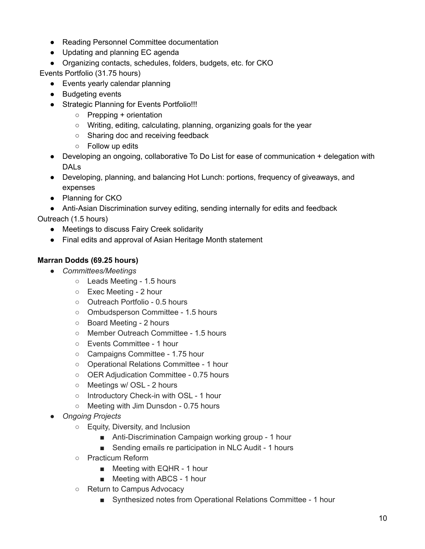- Reading Personnel Committee documentation
- Updating and planning EC agenda
- Organizing contacts, schedules, folders, budgets, etc. for CKO

Events Portfolio (31.75 hours)

- Events yearly calendar planning
- Budgeting events
- Strategic Planning for Events Portfolio!!!
	- Prepping + orientation
	- Writing, editing, calculating, planning, organizing goals for the year
	- Sharing doc and receiving feedback
	- Follow up edits
- Developing an ongoing, collaborative To Do List for ease of communication + delegation with DALs
- Developing, planning, and balancing Hot Lunch: portions, frequency of giveaways, and expenses
- Planning for CKO
- Anti-Asian Discrimination survey editing, sending internally for edits and feedback

Outreach (1.5 hours)

- Meetings to discuss Fairy Creek solidarity
- Final edits and approval of Asian Heritage Month statement

# **Marran Dodds (69.25 hours)**

- *Committees/Meetings*
	- Leads Meeting 1.5 hours
	- Exec Meeting 2 hour
	- Outreach Portfolio 0.5 hours
	- Ombudsperson Committee 1.5 hours
	- Board Meeting 2 hours
	- Member Outreach Committee 1.5 hours
	- Events Committee 1 hour
	- Campaigns Committee 1.75 hour
	- Operational Relations Committee 1 hour
	- OER Adjudication Committee 0.75 hours
	- Meetings w/ OSL 2 hours
	- Introductory Check-in with OSL 1 hour
	- Meeting with Jim Dunsdon 0.75 hours
- *Ongoing Projects*
	- Equity, Diversity, and Inclusion
		- Anti-Discrimination Campaign working group 1 hour
		- Sending emails re participation in NLC Audit 1 hours
	- Practicum Reform
		- Meeting with EQHR 1 hour
		- Meeting with ABCS 1 hour
	- Return to Campus Advocacy
		- Synthesized notes from Operational Relations Committee 1 hour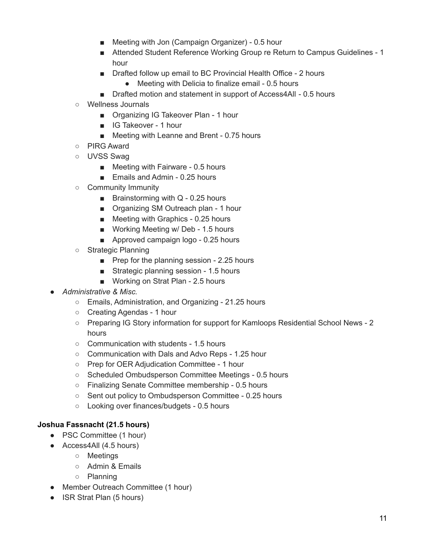- Meeting with Jon (Campaign Organizer) 0.5 hour
- Attended Student Reference Working Group re Return to Campus Guidelines 1 hour
- Drafted follow up email to BC Provincial Health Office 2 hours
	- Meeting with Delicia to finalize email 0.5 hours
- Drafted motion and statement in support of Access4All 0.5 hours
- Wellness Journals
	- Organizing IG Takeover Plan 1 hour
	- IG Takeover 1 hour
	- Meeting with Leanne and Brent 0.75 hours
- PIRG Award
- UVSS Swag
	- Meeting with Fairware 0.5 hours
	- Emails and Admin 0.25 hours
- Community Immunity
	- Brainstorming with Q 0.25 hours
	- Organizing SM Outreach plan 1 hour
	- Meeting with Graphics 0.25 hours
	- Working Meeting w/ Deb 1.5 hours
	- Approved campaign logo 0.25 hours
- Strategic Planning
	- Prep for the planning session 2.25 hours
	- Strategic planning session 1.5 hours
	- Working on Strat Plan 2.5 hours
- *Administrative & Misc.*
	- Emails, Administration, and Organizing 21.25 hours
	- Creating Agendas 1 hour
	- Preparing IG Story information for support for Kamloops Residential School News 2 hours
	- Communication with students 1.5 hours
	- Communication with Dals and Advo Reps 1.25 hour
	- Prep for OER Adjudication Committee 1 hour
	- Scheduled Ombudsperson Committee Meetings 0.5 hours
	- Finalizing Senate Committee membership 0.5 hours
	- Sent out policy to Ombudsperson Committee 0.25 hours
	- Looking over finances/budgets 0.5 hours

## **Joshua Fassnacht (21.5 hours)**

- PSC Committee (1 hour)
- Access4All (4.5 hours)
	- Meetings
	- Admin & Emails
	- Planning
- Member Outreach Committee (1 hour)
- ISR Strat Plan (5 hours)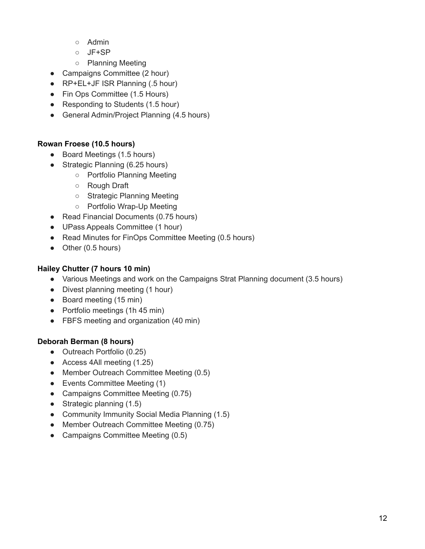- Admin
- JF+SP
- Planning Meeting
- Campaigns Committee (2 hour)
- RP+EL+JF ISR Planning (.5 hour)
- Fin Ops Committee (1.5 Hours)
- Responding to Students (1.5 hour)
- General Admin/Project Planning (4.5 hours)

## **Rowan Froese (10.5 hours)**

- Board Meetings (1.5 hours)
- Strategic Planning (6.25 hours)
	- Portfolio Planning Meeting
	- Rough Draft
	- Strategic Planning Meeting
	- Portfolio Wrap-Up Meeting
- Read Financial Documents (0.75 hours)
- UPass Appeals Committee (1 hour)
- Read Minutes for FinOps Committee Meeting (0.5 hours)
- Other (0.5 hours)

## **Hailey Chutter (7 hours 10 min)**

- Various Meetings and work on the Campaigns Strat Planning document (3.5 hours)
- Divest planning meeting (1 hour)
- Board meeting (15 min)
- Portfolio meetings (1h 45 min)
- FBFS meeting and organization (40 min)

# **Deborah Berman (8 hours)**

- Outreach Portfolio (0.25)
- Access 4All meeting (1.25)
- Member Outreach Committee Meeting (0.5)
- Events Committee Meeting (1)
- Campaigns Committee Meeting (0.75)
- Strategic planning (1.5)
- Community Immunity Social Media Planning (1.5)
- Member Outreach Committee Meeting (0.75)
- Campaigns Committee Meeting (0.5)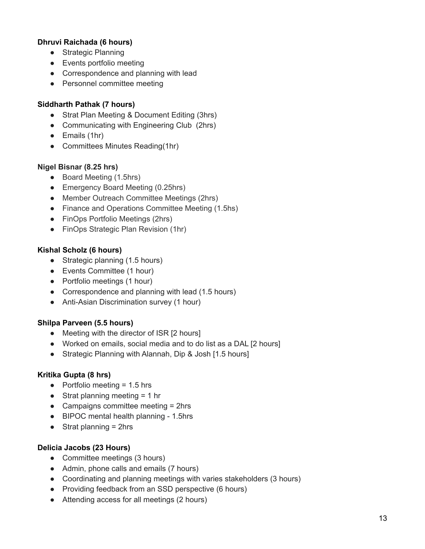## **Dhruvi Raichada (6 hours)**

- Strategic Planning
- Events portfolio meeting
- Correspondence and planning with lead
- Personnel committee meeting

#### **Siddharth Pathak (7 hours)**

- Strat Plan Meeting & Document Editing (3hrs)
- Communicating with Engineering Club (2hrs)
- Emails (1hr)
- Committees Minutes Reading(1hr)

#### **Nigel Bisnar (8.25 hrs)**

- Board Meeting (1.5hrs)
- Emergency Board Meeting (0.25hrs)
- Member Outreach Committee Meetings (2hrs)
- Finance and Operations Committee Meeting (1.5hs)
- FinOps Portfolio Meetings (2hrs)
- FinOps Strategic Plan Revision (1hr)

#### **Kishal Scholz (6 hours)**

- Strategic planning (1.5 hours)
- Events Committee (1 hour)
- Portfolio meetings (1 hour)
- Correspondence and planning with lead (1.5 hours)
- Anti-Asian Discrimination survey (1 hour)

#### **Shilpa Parveen (5.5 hours)**

- Meeting with the director of ISR [2 hours]
- Worked on emails, social media and to do list as a DAL [2 hours]
- Strategic Planning with Alannah, Dip & Josh [1.5 hours]

#### **Kritika Gupta (8 hrs)**

- $\bullet$  Portfolio meeting = 1.5 hrs
- $\bullet$  Strat planning meeting = 1 hr
- Campaigns committee meeting = 2hrs
- BIPOC mental health planning 1.5hrs
- $\bullet$  Strat planning = 2hrs

#### **Delicia Jacobs (23 Hours)**

- Committee meetings (3 hours)
- Admin, phone calls and emails (7 hours)
- Coordinating and planning meetings with varies stakeholders (3 hours)
- Providing feedback from an SSD perspective (6 hours)
- Attending access for all meetings (2 hours)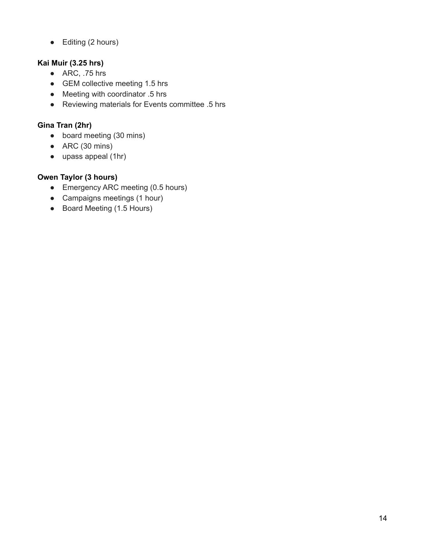● Editing (2 hours)

# **Kai Muir (3.25 hrs)**

- $\bullet$  ARC, .75 hrs
- GEM collective meeting 1.5 hrs
- Meeting with coordinator .5 hrs
- Reviewing materials for Events committee .5 hrs

# **Gina Tran (2hr)**

- board meeting (30 mins)
- $\bullet$  ARC (30 mins)
- upass appeal (1hr)

# **Owen Taylor (3 hours)**

- Emergency ARC meeting (0.5 hours)
- Campaigns meetings (1 hour)
- Board Meeting (1.5 Hours)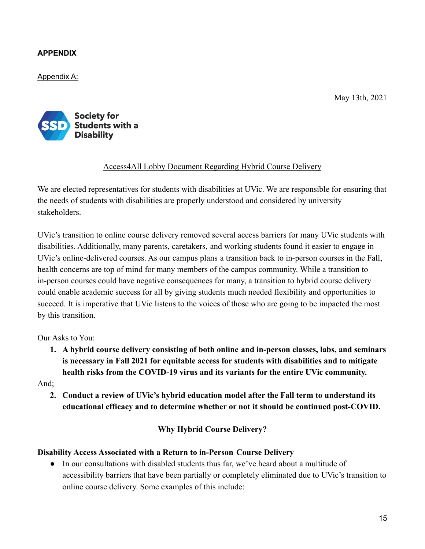# **APPENDIX**

Appendix A:

May 13th, 2021



# Access4All Lobby Document Regarding Hybrid Course Delivery

We are elected representatives for students with disabilities at UVic. We are responsible for ensuring that the needs of students with disabilities are properly understood and considered by university stakeholders.

UVic's transition to online course delivery removed several access barriers for many UVic students with disabilities. Additionally, many parents, caretakers, and working students found it easier to engage in UVic's online-delivered courses. As our campus plans a transition back to in-person courses in the Fall, health concerns are top of mind for many members of the campus community. While a transition to in-person courses could have negative consequences for many, a transition to hybrid course delivery could enable academic success for all by giving students much needed flexibility and opportunities to succeed. It is imperative that UVic listens to the voices of those who are going to be impacted the most by this transition.

Our Asks to You:

**1. A hybrid course delivery consisting of both online and in-person classes, labs, and seminars is necessary in Fall 2021 for equitable access for students with disabilities and to mitigate health risks from the COVID-19 virus and its variants for the entire UVic community.**

And;

**2. Conduct a review of UVic's hybrid education model after the Fall term to understand its educational efficacy and to determine whether or not it should be continued post-COVID.**

## **Why Hybrid Course Delivery?**

## **Disability Access Associated with a Return to in-Person Course Delivery**

• In our consultations with disabled students thus far, we've heard about a multitude of accessibility barriers that have been partially or completely eliminated due to UVic's transition to online course delivery. Some examples of this include: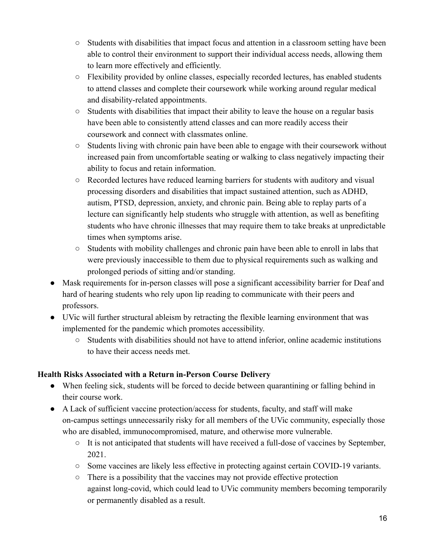- Students with disabilities that impact focus and attention in a classroom setting have been able to control their environment to support their individual access needs, allowing them to learn more effectively and efficiently.
- Flexibility provided by online classes, especially recorded lectures, has enabled students to attend classes and complete their coursework while working around regular medical and disability-related appointments.
- Students with disabilities that impact their ability to leave the house on a regular basis have been able to consistently attend classes and can more readily access their coursework and connect with classmates online.
- Students living with chronic pain have been able to engage with their coursework without increased pain from uncomfortable seating or walking to class negatively impacting their ability to focus and retain information.
- Recorded lectures have reduced learning barriers for students with auditory and visual processing disorders and disabilities that impact sustained attention, such as ADHD, autism, PTSD, depression, anxiety, and chronic pain. Being able to replay parts of a lecture can significantly help students who struggle with attention, as well as benefiting students who have chronic illnesses that may require them to take breaks at unpredictable times when symptoms arise.
- Students with mobility challenges and chronic pain have been able to enroll in labs that were previously inaccessible to them due to physical requirements such as walking and prolonged periods of sitting and/or standing.
- Mask requirements for in-person classes will pose a significant accessibility barrier for Deaf and hard of hearing students who rely upon lip reading to communicate with their peers and professors.
- **●** UVic will further structural ableism by retracting the flexible learning environment that was implemented for the pandemic which promotes accessibility.
	- Students with disabilities should not have to attend inferior, online academic institutions to have their access needs met.

# **Health Risks Associated with a Return in-Person Course Delivery**

- When feeling sick, students will be forced to decide between quarantining or falling behind in their course work.
- A Lack of sufficient vaccine protection/access for students, faculty, and staff will make on-campus settings unnecessarily risky for all members of the UVic community, especially those who are disabled, immunocompromised, mature, and otherwise more vulnerable.
	- It is not anticipated that students will have received a full-dose of vaccines by September, 2021.
	- Some vaccines are likely less effective in protecting against certain COVID-19 variants.
	- There is a possibility that the vaccines may not provide effective protection against long-covid, which could lead to UVic community members becoming temporarily or permanently disabled as a result.